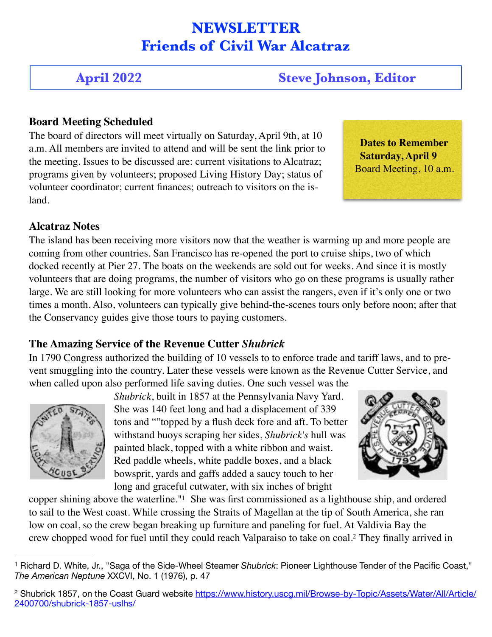# **NEWSLETTER Friends of Civil War Alcatraz**

## **April 2022 Steve Johnson, Editor**

#### **Board Meeting Scheduled**

The board of directors will meet virtually on Saturday, April 9th, at 10 a.m. All members are invited to attend and will be sent the link prior to the meeting. Issues to be discussed are: current visitations to Alcatraz; programs given by volunteers; proposed Living History Day; status of volunteer coordinator; current finances; outreach to visitors on the island.

 **Dates to Remember Saturday, April 9** Board Meeting, 10 a.m.

#### **Alcatraz Notes**

The island has been receiving more visitors now that the weather is warming up and more people are coming from other countries. San Francisco has re-opened the port to cruise ships, two of which docked recently at Pier 27. The boats on the weekends are sold out for weeks. And since it is mostly volunteers that are doing programs, the number of visitors who go on these programs is usually rather large. We are still looking for more volunteers who can assist the rangers, even if it's only one or two times a month. Also, volunteers can typically give behind-the-scenes tours only before noon; after that the Conservancy guides give those tours to paying customers.

### **The Amazing Service of the Revenue Cutter** *Shubrick*

In 1790 Congress authorized the building of 10 vessels to to enforce trade and tariff laws, and to prevent smuggling into the country. Later these vessels were known as the Revenue Cutter Service, and when called upon also performed life saving duties. One such vessel was the



<span id="page-0-2"></span>*Shubrick*, built in 1857 at the Pennsylvania Navy Yard. She was 140 feet long and had a displacement of 339 tons and ""topped by a flush deck fore and aft. To better withstand buoys scraping her sides, *Shubrick's* hull was painted black, topped with a white ribbon and waist. Red paddle wheels, white paddle boxes, and a black bowsprit, yards and gaffs added a saucy touch to her long and graceful cutwater, with six inches of bright

<span id="page-0-3"></span>

copper shining above the waterline."<sup>[1](#page-0-0)</sup> She was first commissioned as a lighthouse ship, and ordered to sail to the West coast. While crossing the Straits of Magellan at the tip of South America, she ran low on coal, so the crew began breaking up furniture and paneling for fuel. At Valdivia Bay the crew chopped wood for fuel until they could reach Valparaiso to take on coal.<sup>[2](#page-0-1)</sup> They finally arrived in

<span id="page-0-0"></span><sup>&</sup>lt;sup>[1](#page-0-2)</sup> Richard D. White, Jr., "Saga of the Side-Wheel Steamer Shubrick: Pioneer Lighthouse Tender of the Pacific Coast," *The American Neptune* XXCVI, No. 1 (1976), p. 47

<span id="page-0-1"></span><sup>&</sup>lt;sup>2</sup> Shubrick 1857, on the Coast Guard website [https://www.history.uscg.mil/Browse-by-Topic/Assets/Water/All/Article/](https://www.history.uscg.mil/Browse-by-Topic/Assets/Water/All/Article/2400700/shubrick-1857-uslhs/) [2400700/shubrick-1857-uslhs/](https://www.history.uscg.mil/Browse-by-Topic/Assets/Water/All/Article/2400700/shubrick-1857-uslhs/)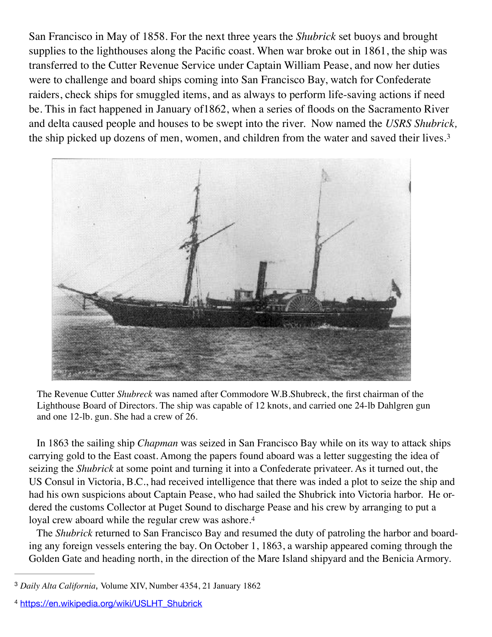San Francisco in May of 1858. For the next three years the *Shubrick* set buoys and brought supplies to the lighthouses along the Pacific coast. When war broke out in 1861, the ship was transferred to the Cutter Revenue Service under Captain William Pease, and now her duties were to challenge and board ships coming into San Francisco Bay, watch for Confederate raiders, check ships for smuggled items, and as always to perform life-saving actions if need be. This in fact happened in January of1862, when a series of floods on the Sacramento River and delta caused people and houses to be swept into the river. Now named the *USRS Shubrick,* the ship picked up dozens of men, women, and children from the water and saved their lives.[3](#page-1-0)

<span id="page-1-2"></span>

The Revenue Cutter *Shubreck* was named after Commodore W.B.Shubreck, the first chairman of the Lighthouse Board of Directors. The ship was capable of 12 knots, and carried one 24-lb Dahlgren gun and one 12-lb. gun. She had a crew of 26.

 In 1863 the sailing ship *Chapman* was seized in San Francisco Bay while on its way to attack ships carrying gold to the East coast. Among the papers found aboard was a letter suggesting the idea of seizing the *Shubrick* at some point and turning it into a Confederate privateer. As it turned out, the US Consul in Victoria, B.C., had received intelligence that there was inded a plot to seize the ship and had his own suspicions about Captain Pease, who had sailed the Shubrick into Victoria harbor. He ordered the customs Collector at Puget Sound to discharge Pease and his crew by arranging to put a loyal crew aboard while the regular crew was ashore.<sup>[4](#page-1-1)</sup>

<span id="page-1-3"></span> The *Shubrick* returned to San Francisco Bay and resumed the duty of patroling the harbor and boarding any foreign vessels entering the bay. On October 1, 1863, a warship appeared coming through the Golden Gate and heading north, in the direction of the Mare Island shipyard and the Benicia Armory.

<span id="page-1-0"></span>*Daily Alta California*, Volume XIV, Number 4354, 21 January 1862 [3](#page-1-2)

<span id="page-1-1"></span>[https://en.wikipedia.org/wiki/USLHT\\_Shubrick](https://en.wikipedia.org/wiki/USLHT_Shubrick) [4](#page-1-3)